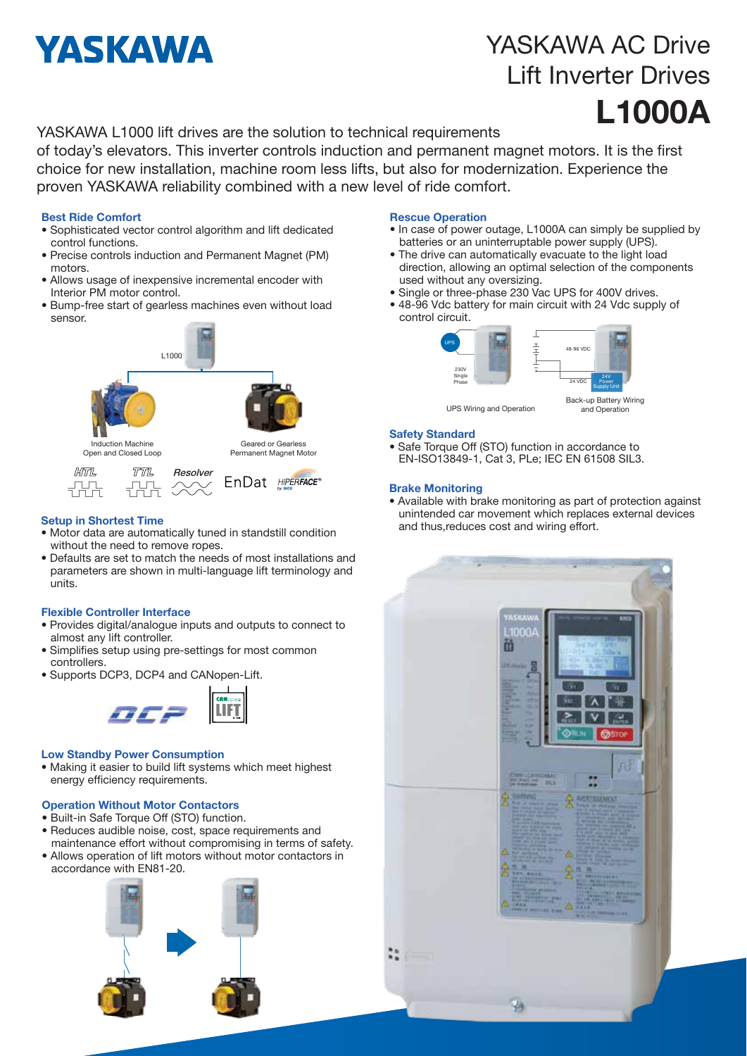# **YASKAWA**

## YASKAWA AC Drive Lift Inverter Drives L1000A

and Operation

#### YASKAWA L1000 lift drives are the solution to technical requirements

of today's elevators. This inverter controls induction and permanent magnet motors. It is the first choice for new installation, machine room less lifts, but also for modernization. Experience the proven YASKAWA reliability combined with a new level of ride comfort.

#### Best Ride Comfort

- Sophisticated vector control algorithm and lift dedicated control functions.
- Precise controls induction and Permanent Magnet (PM) motors.
- Allows usage of inexpensive incremental encoder with Interior PM motor control.
- Bump-free start of gearless machines even without load sensor.



#### Setup in Shortest Time

- Motor data are automatically tuned in standstill condition without the need to remove ropes.
- Defaults are set to match the needs of most installations and parameters are shown in multi-language lift terminology and units.

#### Flexible Controller Interface

- Provides digital/analogue inputs and outputs to connect to almost any lift controller.
- Simplifies setup using pre-settings for most common controllers.
- Supports DCP3, DCP4 and CANopen-Lift.



#### Low Standby Power Consumption

• Making it easier to build lift systems which meet highest energy efficiency requirements.

#### Operation Without Motor Contactors

- Built-in Safe Torque Off (STO) function.
- Reduces audible noise, cost, space requirements and maintenance effort without compromising in terms of safety.
- Allows operation of lift motors without motor contactors in accordance with EN81-20.



#### Rescue Operation

- In case of power outage, L1000A can simply be supplied by batteries or an uninterruptable power supply (UPS).
- The drive can automatically evacuate to the light load direction, allowing an optimal selection of the components used without any oversizing.
- Single or three-phase 230 Vac UPS for 400V drives.
- 48-96 Vdc battery for main circuit with 24 Vdc supply of control circuit.



#### UPS Wiring and Operation

#### Safety Standard

• Safe Torque Off (STO) function in accordance to EN-ISO13849-1, Cat 3, PLe; IEC EN 61508 SIL3.

#### Brake Monitoring

• Available with brake monitoring as part of protection against unintended car movement which replaces external devices and thus,reduces cost and wiring effort.